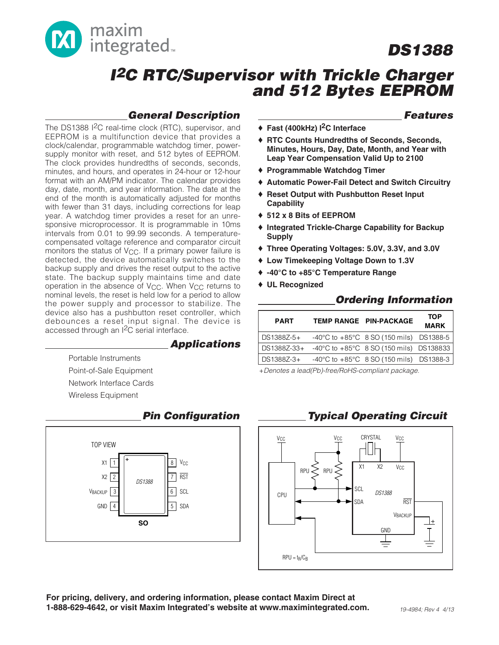

# **I<sup>2</sup>C RTC/Supervisor with Trickle Charger and 512 Bytes EEPROM**

### **General Description**

The DS1388 I<sup>2</sup>C real-time clock (RTC), supervisor, and EEPROM is a multifunction device that provides a clock/calendar, programmable watchdog timer, powersupply monitor with reset, and 512 bytes of EEPROM. The clock provides hundredths of seconds, seconds, minutes, and hours, and operates in 24-hour or 12-hour format with an AM/PM indicator. The calendar provides day, date, month, and year information. The date at the end of the month is automatically adjusted for months with fewer than 31 days, including corrections for leap year. A watchdog timer provides a reset for an unresponsive microprocessor. It is programmable in 10ms intervals from 0.01 to 99.99 seconds. A temperaturecompensated voltage reference and comparator circuit monitors the status of V<sub>CC</sub>. If a primary power failure is detected, the device automatically switches to the backup supply and drives the reset output to the active state. The backup supply maintains time and date operation in the absence of V<sub>CC</sub>. When V<sub>CC</sub> returns to nominal levels, the reset is held low for a period to allow the power supply and processor to stabilize. The device also has a pushbutton reset controller, which debounces a reset input signal. The device is accessed through an I2C serial interface.

#### **Applications**

Portable Instruments Point-of-Sale Equipment Network Interface Cards Wireless Equipment



#### **Pin Configuration**

#### **Features**

- ♦ **Fast (400kHz) I2C Interface**
- ♦ **RTC Counts Hundredths of Seconds, Seconds, Minutes, Hours, Day, Date, Month, and Year with Leap Year Compensation Valid Up to 2100**
- ♦ **Programmable Watchdog Timer**
- ♦ **Automatic Power-Fail Detect and Switch Circuitry**
- ♦ **Reset Output with Pushbutton Reset Input Capability**
- ♦ **512 x 8 Bits of EEPROM**
- ♦ **Integrated Trickle-Charge Capability for Backup Supply**
- ♦ **Three Operating Voltages: 5.0V, 3.3V, and 3.0V**
- ♦ **Low Timekeeping Voltage Down to 1.3V**
- ♦ **-40°C to +85°C Temperature Range**
- ♦ **UL Recognized**

### **Ordering Information**

| <b>PART</b>  |                                                     | TEMP RANGE PIN-PACKAGE                                      | TOP<br><b>MARK</b> |
|--------------|-----------------------------------------------------|-------------------------------------------------------------|--------------------|
| l DS1388Z-5+ |                                                     | $-40^{\circ}$ C to $+85^{\circ}$ C 8 SO (150 mils) DS1388-5 |                    |
|              | DS1388Z-33+ -40°C to +85°C 8 SO (150 mils) DS138833 |                                                             |                    |
| DS1388Z-3+   |                                                     | $-40^{\circ}$ C to $+85^{\circ}$ C 8 SO (150 mils) DS1388-3 |                    |

+Denotes a lead(Pb)-free/RoHS-compliant package.

# **Typical Operating Circuit**



**For pricing, delivery, and ordering information, please contact Maxim Direct at 1-888-629-4642, or visit Maxim Integrated's website at www.maximintegrated.com.**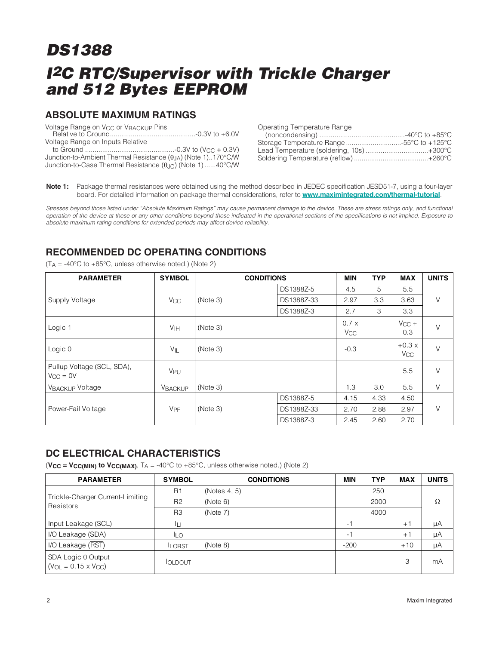### **ABSOLUTE MAXIMUM RATINGS**

| Voltage Range on V <sub>CC</sub> or V <sub>BACKUP</sub> Pins              |  |
|---------------------------------------------------------------------------|--|
|                                                                           |  |
| Voltage Range on Inputs Relative                                          |  |
|                                                                           |  |
| Junction-to-Ambient Thermal Resistance $(\theta_{JA})$ (Note 1)170°C/W    |  |
| Junction-to-Case Thermal Resistance $(\theta_{\text{JC}})$ (Note 1)40°C/W |  |

| Operating Temperature Range               |  |
|-------------------------------------------|--|
|                                           |  |
| Storage Temperature Range -55°C to +125°C |  |
| Lead Temperature (soldering, 10s)+300°C   |  |
|                                           |  |

**Note 1:** Package thermal resistances were obtained using the method described in JEDEC specification JESD51-7, using a four-layer board. For detailed information on package thermal considerations, refer to **www.maximintegrated.com/thermal-tutorial**.

Stresses beyond those listed under "Absolute Maximum Ratings" may cause permanent damage to the device. These are stress ratings only, and functional operation of the device at these or any other conditions beyond those indicated in the operational sections of the specifications is not implied. Exposure to absolute maximum rating conditions for extended periods may affect device reliability.

# **RECOMMENDED DC OPERATING CONDITIONS**

 $(T_A = -40^{\circ}$ C to  $+85^{\circ}$ C, unless otherwise noted.) (Note 2)

| <b>PARAMETER</b>                            | <b>SYMBOL</b>         | <b>CONDITIONS</b> |            | <b>MIN</b>                    | <b>TYP</b> | <b>MAX</b>                       | <b>UNITS</b> |
|---------------------------------------------|-----------------------|-------------------|------------|-------------------------------|------------|----------------------------------|--------------|
|                                             |                       |                   | DS1388Z-5  | 4.5                           | 5          | 5.5                              |              |
| Supply Voltage                              | <b>V<sub>CC</sub></b> | (Note 3)          | DS1388Z-33 | 2.97                          | 3.3        | 3.63                             | V            |
|                                             |                       |                   | DS1388Z-3  | 2.7                           | 3          | 3.3                              |              |
| Logic 1                                     | VIH                   | (Note 3)          |            | 0.7x<br><b>V<sub>CC</sub></b> |            | $V_{CC}$ +<br>0.3                | V            |
| Logic 0                                     | VIL                   | (Note 3)          |            | $-0.3$                        |            | $+0.3x$<br><b>V<sub>CC</sub></b> | V            |
| Pullup Voltage (SCL, SDA),<br>$V_{CC} = 0V$ | V <sub>PU</sub>       |                   |            |                               |            | 5.5                              | $\vee$       |
| <b>VBACKUP Voltage</b>                      | <b>VBACKUP</b>        | (Note 3)          |            | 1.3                           | 3.0        | 5.5                              | V            |
|                                             |                       |                   | DS1388Z-5  | 4.15                          | 4.33       | 4.50                             |              |
| Power-Fail Voltage                          | <b>V<sub>PF</sub></b> | (Note 3)          | DS1388Z-33 | 2.70                          | 2.88       | 2.97                             | $\vee$       |
|                                             |                       |                   | DS1388Z-3  | 2.45                          | 2.60       | 2.70                             |              |

### **DC ELECTRICAL CHARACTERISTICS**

 $(**V_{CC** = **V_{CC(MIN)}** to **V_{CC(MAX)}**$ ,  $T_A = -40^{\circ}C$  to  $+85^{\circ}C$ , unless otherwise noted.) (Note 2)

| <b>PARAMETER</b>                                      | <b>SYMBOL</b>  | <b>CONDITIONS</b> | <b>MIN</b> | <b>TYP</b> | <b>MAX</b> | <b>UNITS</b> |
|-------------------------------------------------------|----------------|-------------------|------------|------------|------------|--------------|
|                                                       | R <sub>1</sub> | (Notes 4, 5)      |            | 250        |            |              |
| Trickle-Charger Current-Limiting<br>Resistors         | R <sub>2</sub> | (Note 6)          |            | 2000       |            | Ω            |
|                                                       | R <sub>3</sub> | (Note 7)          |            | 4000       |            |              |
| Input Leakage (SCL)                                   | IЦ             |                   | -1         |            | $+1$       | μA           |
| I/O Leakage (SDA)                                     | ILO            |                   | $-1$       |            | $+1$       | μA           |
| I/O Leakage (RST)                                     | <b>ILORST</b>  | (Note 8)          | $-200$     |            | $+10$      | μA           |
| SDA Logic 0 Output<br>$(V_{OL} = 0.15 \times V_{CC})$ | <b>IOLDOUT</b> |                   |            |            | 3          | mA           |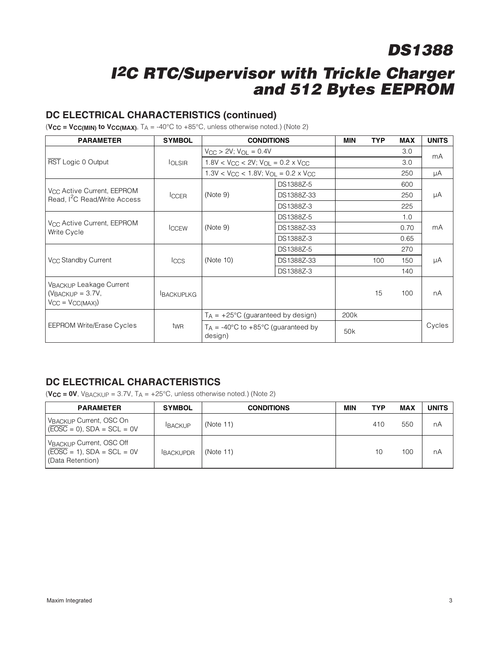# **I<sup>2</sup>C RTC/Supervisor with Trickle Charger and 512 Bytes EEPROM**

#### **DC ELECTRICAL CHARACTERISTICS (continued)**

 $(**V_{CC** = **V_{CC(MIN)}** to **V_{CC(MAX)}**$ ,  $T_A = -40^{\circ}C$  to  $+85^{\circ}C$ , unless otherwise noted.) (Note 2)

| <b>PARAMETER</b>                                                                   | <b>SYMBOL</b>    |                                                                           | <b>CONDITIONS</b> | <b>MIN</b>      | <b>TYP</b> | <b>MAX</b> | <b>UNITS</b> |
|------------------------------------------------------------------------------------|------------------|---------------------------------------------------------------------------|-------------------|-----------------|------------|------------|--------------|
|                                                                                    |                  | $V_{CC}$ > 2V; $V_{OL}$ = 0.4V                                            |                   |                 |            | 3.0        | mA           |
| RST Logic 0 Output                                                                 | <b>OLSIR</b>     | $1.8V < V_{CC} < 2V$ ; $V_{OL} = 0.2 \times V_{CC}$                       |                   |                 |            | 3.0        |              |
|                                                                                    |                  | $1.3$ V < V <sub>CC</sub> < 1.8V; V <sub>OL</sub> = 0.2 x V <sub>CC</sub> |                   |                 |            | 250        | μA           |
|                                                                                    |                  |                                                                           | DS1388Z-5         |                 |            | 600        |              |
| V <sub>CC</sub> Active Current, EEPROM<br>Read, I <sup>2</sup> C Read/Write Access | <b>ICCER</b>     | (Note 9)                                                                  | DS1388Z-33        |                 |            | 250        | μA           |
|                                                                                    |                  |                                                                           | DS1388Z-3         |                 |            | 225        |              |
|                                                                                    |                  | (Note 9)                                                                  | DS1388Z-5         |                 |            | 1.0        | mA           |
| V <sub>CC</sub> Active Current, EEPROM<br>Write Cycle                              | <b>ICCEW</b>     |                                                                           | DS1388Z-33        |                 |            | 0.70       |              |
|                                                                                    |                  |                                                                           | DS1388Z-3         |                 |            | 0.65       |              |
|                                                                                    | <b>Iccs</b>      | (Note 10)                                                                 | DS1388Z-5         |                 |            | 270        | μA           |
| V <sub>CC</sub> Standby Current                                                    |                  |                                                                           | DS1388Z-33        |                 | 100        | 150        |              |
|                                                                                    |                  |                                                                           | DS1388Z-3         |                 |            | 140        |              |
| <b>VBACKUP Leakage Current</b><br>$(VBACKUP = 3.7V,$<br>$V_{CC} = V_{CC(MAX)}$     | <b>BACKUPLKG</b> |                                                                           |                   |                 | 15         | 100        | пA           |
|                                                                                    |                  | $T_A$ = +25°C (guaranteed by design)                                      |                   | 200k            |            |            |              |
| <b>EEPROM Write/Erase Cycles</b>                                                   | twR              | $T_A$ = -40°C to +85°C (guaranteed by<br>design)                          |                   | 50 <sub>k</sub> |            |            | Cycles       |

# **DC ELECTRICAL CHARACTERISTICS**

 $(**V_{CC** = **OV**,  $V_{\text{BACKUP}} = 3.7V$ ,  $T_A = +25^{\circ}C$ , unless otherwise noted.) (Note 2)$ 

| <b>PARAMETER</b>                                                                          | <b>SYMBOL</b>   | <b>CONDITIONS</b> | MIN | TYP | MAX | <b>UNITS</b> |
|-------------------------------------------------------------------------------------------|-----------------|-------------------|-----|-----|-----|--------------|
| VBACKUP Current, OSC On<br>$\sqrt{EOSC} = 0$ , SDA = SCL = 0V                             | <b>BACKUP</b>   | (Note 11)         |     | 410 | 550 | nA           |
| VBACKUP Current, OSC Off<br>$\sqrt{\text{EOSC}}$ = 1), SDA = SCL = 0V<br>(Data Retention) | <b>BACKUPDR</b> | (Note 11)         |     | 10  | 100 | nA           |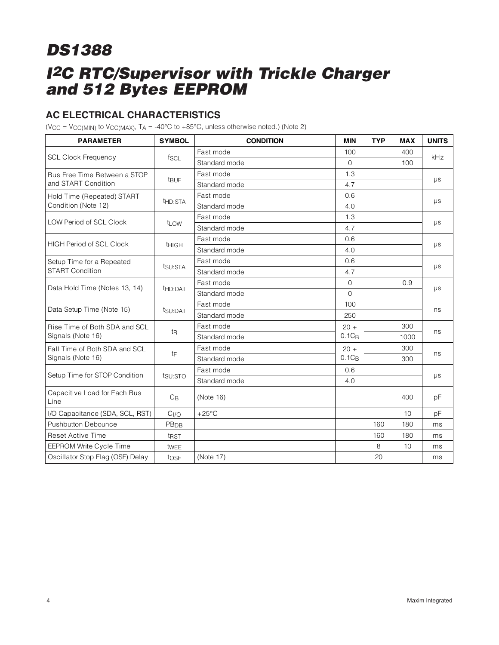# **AC ELECTRICAL CHARACTERISTICS**

(V<sub>CC</sub> = V<sub>CC(MIN)</sub> to V<sub>CC(MAX)</sub>,  $TA = -40^{\circ}C$  to  $+85^{\circ}C$ , unless otherwise noted.) (Note 2)

| <b>PARAMETER</b>                     | <b>SYMBOL</b>       | <b>CONDITION</b> | <b>MIN</b>  | <b>TYP</b> | <b>MAX</b> | <b>UNITS</b> |  |
|--------------------------------------|---------------------|------------------|-------------|------------|------------|--------------|--|
|                                      |                     | Fast mode        | 100         |            | 400        |              |  |
| <b>SCL Clock Frequency</b>           | fscl                | Standard mode    | $\Omega$    |            | 100        | kHz          |  |
| Bus Free Time Between a STOP         |                     | Fast mode        | 1.3         |            |            |              |  |
| and START Condition                  | <b>t</b> BUF        | Standard mode    | 4.7         |            |            | μs           |  |
| Hold Time (Repeated) START           |                     | Fast mode        | 0.6         |            |            |              |  |
| Condition (Note 12)                  | t <sub>HD:STA</sub> | Standard mode    | 4.0         |            |            | $\mu s$      |  |
| <b>LOW Period of SCL Clock</b>       |                     | Fast mode        | 1.3         |            |            |              |  |
|                                      | t <sub>LOW</sub>    | Standard mode    | 4.7         |            |            | $\mu s$      |  |
| <b>HIGH Period of SCL Clock</b>      |                     | Fast mode        | 0.6         |            |            |              |  |
|                                      | <b>THIGH</b>        | Standard mode    | 4.0         |            |            | $\mu s$      |  |
| Setup Time for a Repeated            |                     | Fast mode        | 0.6         |            |            | μs           |  |
| <b>START Condition</b>               | tsu:STA             | Standard mode    | 4.7         |            |            |              |  |
| Data Hold Time (Notes 13, 14)        | t <sub>HD:DAT</sub> | Fast mode        | $\mathbf 0$ |            | 0.9        | $\mu s$      |  |
|                                      |                     | Standard mode    | $\mathbf 0$ |            |            |              |  |
| Data Setup Time (Note 15)            | t <sub>SU:DAT</sub> | Fast mode        | 100         |            |            | ns           |  |
|                                      |                     | Standard mode    | 250         |            |            |              |  |
| Rise Time of Both SDA and SCL        |                     | Fast mode        | $20 +$      |            | 300        | ns           |  |
| Signals (Note 16)                    | tŖ                  | Standard mode    | $0.1C_B$    |            | 1000       |              |  |
| Fall Time of Both SDA and SCL        | tF                  | Fast mode        | $20 +$      |            | 300        | ns           |  |
| Signals (Note 16)                    |                     | Standard mode    | $0.1C_R$    |            | 300        |              |  |
| Setup Time for STOP Condition        |                     | Fast mode        | 0.6         |            |            |              |  |
|                                      | tsu:STO             | Standard mode    | 4.0         |            |            | $\mu s$      |  |
| Capacitive Load for Each Bus<br>Line | $C_B$               | (Note 16)        |             |            | 400        | pF           |  |
| I/O Capacitance (SDA, SCL, RST)      | C <sub>I/O</sub>    | $+25^{\circ}$ C  |             |            | 10         | pF           |  |
| <b>Pushbutton Debounce</b>           | PB <sub>DB</sub>    |                  |             | 160        | 180        | ms           |  |
| <b>Reset Active Time</b>             | t <sub>RST</sub>    |                  |             | 160        | 180        | ms           |  |
| EEPROM Write Cycle Time              | twee                |                  |             | 8          | 10         | ms           |  |
| Oscillator Stop Flag (OSF) Delay     | tosF                | (Note 17)        |             | 20         |            | ms           |  |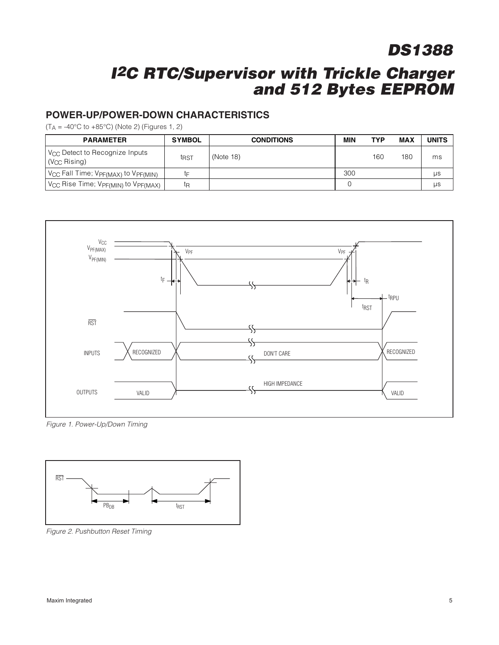# **I<sup>2</sup>C RTC/Supervisor with Trickle Charger and 512 Bytes EEPROM**

#### **POWER-UP/POWER-DOWN CHARACTERISTICS**

 $(T_A = -40^{\circ}$ C to  $+85^{\circ}$ C) (Note 2) (Figures 1, 2)

| <b>PARAMETER</b>                                           | <b>SYMBOL</b>    | <b>CONDITIONS</b> | MIN | <b>TYP</b> | <b>MAX</b> | <b>UNITS</b> |
|------------------------------------------------------------|------------------|-------------------|-----|------------|------------|--------------|
| V <sub>CC</sub> Detect to Recognize Inputs<br>(Vcc Rising) | t <sub>RST</sub> | (Note 18)         |     | 160        | 180        | ms           |
| V <sub>CC</sub> Fall Time; VPF(MAX) to VPF(MIN)            | tF               |                   | 300 |            |            | μs           |
| Vcc Rise Time; VpF(MIN) to VpF(MAX)                        | tη               |                   |     |            |            | μs           |



Figure 1. Power-Up/Down Timing



Figure 2. Pushbutton Reset Timing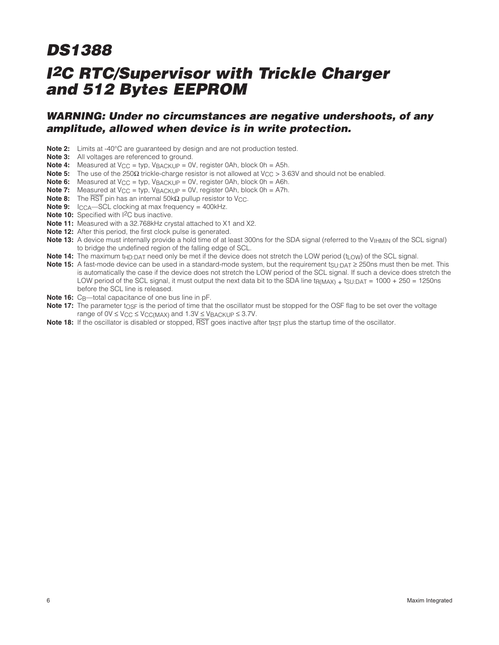### **WARNING: Under no circumstances are negative undershoots, of any amplitude, allowed when device is in write protection.**

- **Note 2:** Limits at -40°C are guaranteed by design and are not production tested.
- **Note 3:** All voltages are referenced to ground.
- **Note 4:** Measured at V<sub>CC</sub> = typ, V<sub>BACKUP</sub> = 0V, register 0Ah, block 0h = A5h.
- Note 5: The use of the 250Ω trickle-charge resistor is not allowed at V<sub>CC</sub> > 3.63V and should not be enabled.
- **Note 6:** Measured at  $V_{CC}$  = typ,  $V_{BACKUP} = 0V$ , register 0Ah, block 0h = A6h.
- **Note 7:** Measured at  $V_{CC} = typ$ ,  $V_{BACKUP} = 0V$ , register 0Ah, block 0h = A7h.
- **Note 8:** The  $\overline{\text{RST}}$  pin has an internal 50kΩ pullup resistor to V<sub>CC</sub>.
- **Note 9:** I<sub>CCA</sub>—SCL clocking at max frequency = 400kHz.
- **Note 10:** Specified with I<sup>2</sup>C bus inactive.
- **Note 11:** Measured with a 32.768kHz crystal attached to X1 and X2.
- **Note 12:** After this period, the first clock pulse is generated.
- **Note 13:** A device must internally provide a hold time of at least 300ns for the SDA signal (referred to the V<sub>IHMIN</sub> of the SCL signal) to bridge the undefined region of the falling edge of SCL.
- Note 14: The maximum t<sub>HD:DAT</sub> need only be met if the device does not stretch the LOW period (t<sub>LOW</sub>) of the SCL signal.
- **Note 15:** A fast-mode device can be used in a standard-mode system, but the requirement t<sub>SU:DAT</sub> ≥ 250ns must then be met. This is automatically the case if the device does not stretch the LOW period of the SCL signal. If such a device does stretch the LOW period of the SCL signal, it must output the next data bit to the SDA line  $tr_{MMAX}$  + tsu:DAT = 1000 + 250 = 1250ns before the SCL line is released.
- **Note 16:** C<sub>B</sub>—total capacitance of one bus line in pF.
- Note 17: The parameter tosf is the period of time that the oscillator must be stopped for the OSF flag to be set over the voltage range of  $0V \leq V_{CC} \leq V_{CC(MAX)}$  and  $1.3V \leq V_{BACKUP} \leq 3.7V$ .
- **Note 18:** If the oscillator is disabled or stopped,  $\overline{RST}$  goes inactive after t<sub>RST</sub> plus the startup time of the oscillator.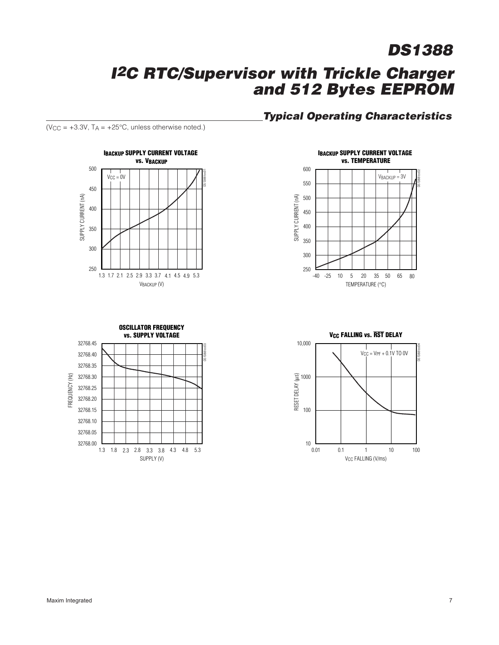# **I<sup>2</sup>C RTC/Supervisor with Trickle Charger and 512 Bytes EEPROM**

# **Typical Operating Characteristics**









 $(V_{CC} = +3.3V, T_A = +25°C,$  unless otherwise noted.)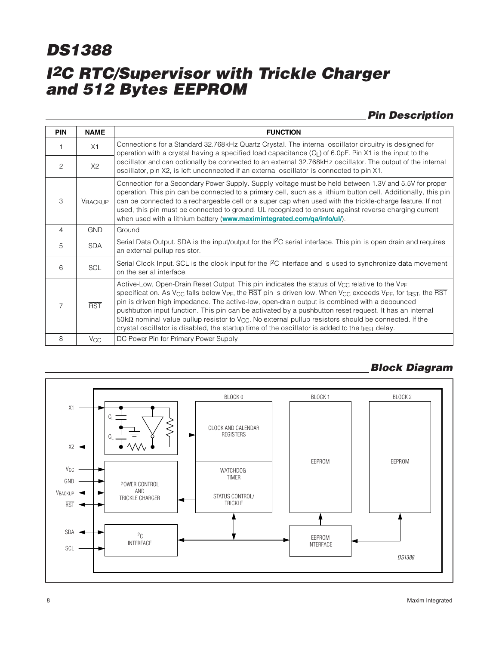# **Pin Description**

| <b>PIN</b> | <b>NAME</b>           | <b>FUNCTION</b>                                                                                                                                                                                                                                                                                                                                                                                                                                                                                                                                                                                                                                                                                                                                                                              |
|------------|-----------------------|----------------------------------------------------------------------------------------------------------------------------------------------------------------------------------------------------------------------------------------------------------------------------------------------------------------------------------------------------------------------------------------------------------------------------------------------------------------------------------------------------------------------------------------------------------------------------------------------------------------------------------------------------------------------------------------------------------------------------------------------------------------------------------------------|
|            | X1                    | Connections for a Standard 32.768kHz Quartz Crystal. The internal oscillator circuitry is designed for<br>operation with a crystal having a specified load capacitance $(CL)$ of 6.0pF. Pin X1 is the input to the                                                                                                                                                                                                                                                                                                                                                                                                                                                                                                                                                                           |
| 2          | X2                    | oscillator and can optionally be connected to an external 32.768kHz oscillator. The output of the internal<br>oscillator, pin X2, is left unconnected if an external oscillator is connected to pin X1.                                                                                                                                                                                                                                                                                                                                                                                                                                                                                                                                                                                      |
| 3          | <b>VBACKUP</b>        | Connection for a Secondary Power Supply. Supply voltage must be held between 1.3V and 5.5V for proper<br>operation. This pin can be connected to a primary cell, such as a lithium button cell. Additionally, this pin<br>can be connected to a rechargeable cell or a super cap when used with the trickle-charge feature. If not<br>used, this pin must be connected to ground. UL recognized to ensure against reverse charging current<br>when used with a lithium battery (www.maximintegrated.com/qa/info/ul/).                                                                                                                                                                                                                                                                        |
| 4          | <b>GND</b>            | Ground                                                                                                                                                                                                                                                                                                                                                                                                                                                                                                                                                                                                                                                                                                                                                                                       |
| 5          | <b>SDA</b>            | Serial Data Output. SDA is the input/output for the I <sup>2</sup> C serial interface. This pin is open drain and requires<br>an external pullup resistor.                                                                                                                                                                                                                                                                                                                                                                                                                                                                                                                                                                                                                                   |
| 6          | <b>SCL</b>            | Serial Clock Input. SCL is the clock input for the $l^2C$ interface and is used to synchronize data movement<br>on the serial interface.                                                                                                                                                                                                                                                                                                                                                                                                                                                                                                                                                                                                                                                     |
| 7          | <b>RST</b>            | Active-Low, Open-Drain Reset Output. This pin indicates the status of V <sub>CC</sub> relative to the V <sub>PF</sub><br>specification. As V <sub>CC</sub> falls below V <sub>PF</sub> , the $\overline{\text{RST}}$ pin is driven low. When V <sub>CC</sub> exceeds V <sub>PF</sub> , for t <sub>RST</sub> , the $\overline{\text{RST}}$<br>pin is driven high impedance. The active-low, open-drain output is combined with a debounced<br>pushbutton input function. This pin can be activated by a pushbutton reset request. It has an internal<br>$50k\Omega$ nominal value pullup resistor to V <sub>CC</sub> . No external pullup resistors should be connected. If the<br>crystal oscillator is disabled, the startup time of the oscillator is added to the t <sub>RST</sub> delay. |
| 8          | <b>V<sub>CC</sub></b> | DC Power Pin for Primary Power Supply                                                                                                                                                                                                                                                                                                                                                                                                                                                                                                                                                                                                                                                                                                                                                        |

#### BLOCK 0 BLOCK 1 BLOCK 2 X1  $C<sub>L</sub>$  $\lessgtr$ CLOCK AND CALENDAR **REGISTERS**  $C<sub>1</sub>$  $X2 -$ EEPROM EEPROM  $\mathsf{V}_{\mathbb{C}\mathbb{C}}$ WATCHDOG ٠ TIMER GND POWER CONTROL VBACKUP AND STATUS CONTROL/ TRICKLE CHARGER TRICKLE  $RST$ SDA ≺ I 2C EEPROM INTERFACE INTERFACE SCL *DS1388*

# **Block Diagram**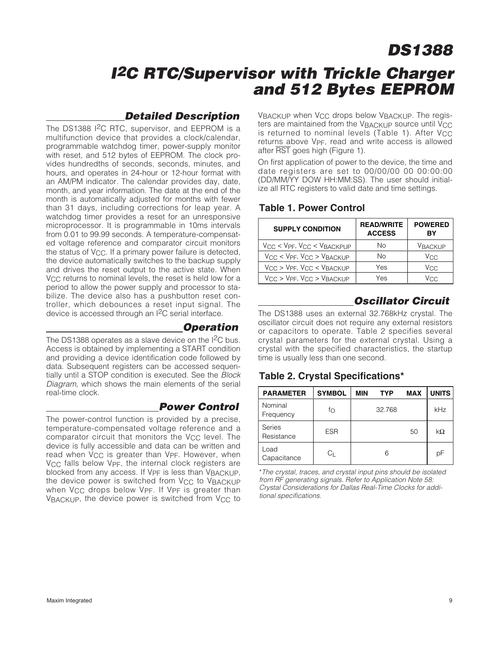# **I<sup>2</sup>C RTC/Supervisor with Trickle Charger and 512 Bytes EEPROM**

### **Detailed Description**

The DS1388 I<sup>2</sup>C RTC, supervisor, and EEPROM is a multifunction device that provides a clock/calendar, programmable watchdog timer, power-supply monitor with reset, and 512 bytes of EEPROM. The clock provides hundredths of seconds, seconds, minutes, and hours, and operates in 24-hour or 12-hour format with an AM/PM indicator. The calendar provides day, date, month, and year information. The date at the end of the month is automatically adjusted for months with fewer than 31 days, including corrections for leap year. A watchdog timer provides a reset for an unresponsive microprocessor. It is programmable in 10ms intervals from 0.01 to 99.99 seconds. A temperature-compensated voltage reference and comparator circuit monitors the status of  $V_{CC}$ . If a primary power failure is detected, the device automatically switches to the backup supply and drives the reset output to the active state. When V<sub>CC</sub> returns to nominal levels, the reset is held low for a period to allow the power supply and processor to stabilize. The device also has a pushbutton reset controller, which debounces a reset input signal. The device is accessed through an I2C serial interface.

#### **Operation**

The DS1388 operates as a slave device on the I<sup>2</sup>C bus. Access is obtained by implementing a START condition and providing a device identification code followed by data. Subsequent registers can be accessed sequentially until a STOP condition is executed. See the Block Diagram, which shows the main elements of the serial real-time clock.

### **Power Control**

The power-control function is provided by a precise, temperature-compensated voltage reference and a comparator circuit that monitors the  $V_{CC}$  level. The device is fully accessible and data can be written and read when  $V_{CC}$  is greater than V<sub>PF</sub>. However, when V<sub>CC</sub> falls below V<sub>PF</sub>, the internal clock registers are blocked from any access. If VPF is less than VBACKUP, the device power is switched from V<sub>CC</sub> to VBACKUP when V<sub>CC</sub> drops below V<sub>PF</sub>. If V<sub>PF</sub> is greater than VBACKUP, the device power is switched from  $V_{CC}$  to VBACKUP when V<sub>CC</sub> drops below VBACKUP. The registers are maintained from the VBACKUP source until VCC is returned to nominal levels (Table 1). After  $V_{CC}$ returns above VPF, read and write access is allowed after RST goes high (Figure 1).

On first application of power to the device, the time and date registers are set to 00/00/00 00 00:00:00 (DD/MM/YY DOW HH:MM:SS). The user should initialize all RTC registers to valid date and time settings.

#### **Table 1. Power Control**

| <b>SUPPLY CONDITION</b>                        | <b>READ/WRITE</b><br><b>ACCESS</b> | <b>POWERED</b><br>ΒY |
|------------------------------------------------|------------------------------------|----------------------|
| $V_{CC}$ < $V_{PF}$ , $V_{CC}$ < $V_{BACKPUP}$ | No                                 | <b>VBACKUP</b>       |
| $V_{CC}$ < $V_{PF}$ , $V_{CC}$ > $V_{BACKUP}$  | No                                 | V <sub>CC</sub>      |
| $V_{CC}$ > $V_{PF}$ , $V_{CC}$ < $V_{BACKUP}$  | Yes                                | V <sub>CC</sub>      |
| $V_{CC}$ > $V_{PF}$ , $V_{CC}$ > $V_{BACKUP}$  | Yes                                | Vcc                  |

# **Oscillator Circuit**

The DS1388 uses an external 32.768kHz crystal. The oscillator circuit does not require any external resistors or capacitors to operate. Table 2 specifies several crystal parameters for the external crystal. Using a crystal with the specified characteristics, the startup time is usually less than one second.

### **Table 2. Crystal Specifications\***

| <b>PARAMETER</b>     | <b>SYMBOL</b> | <b>MIN</b> | <b>TYP</b> | <b>MAX</b> | <b>UNITS</b> |
|----------------------|---------------|------------|------------|------------|--------------|
| Nominal<br>Frequency | fo            |            | 32.768     |            | kHz          |
| Series<br>Resistance | <b>ESR</b>    |            |            | 50         | $k\Omega$    |
| Load<br>Capacitance  | Uг            |            | 6          |            | рF           |

\*The crystal, traces, and crystal input pins should be isolated from RF generating signals. Refer to Application Note 58: Crystal Considerations for Dallas Real-Time Clocks for additional specifications.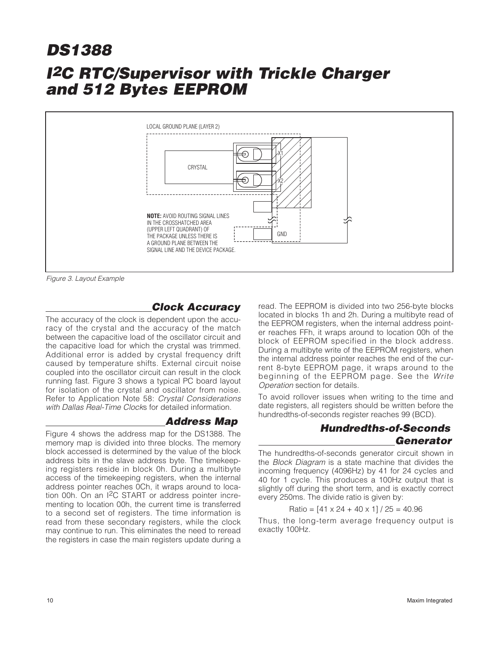

Figure 3. Layout Example

# **Clock Accuracy**

The accuracy of the clock is dependent upon the accuracy of the crystal and the accuracy of the match between the capacitive load of the oscillator circuit and the capacitive load for which the crystal was trimmed. Additional error is added by crystal frequency drift caused by temperature shifts. External circuit noise coupled into the oscillator circuit can result in the clock running fast. Figure 3 shows a typical PC board layout for isolation of the crystal and oscillator from noise. Refer to Application Note 58: Crystal Considerations with Dallas Real-Time Clocks for detailed information.

#### **Address Map**

Figure 4 shows the address map for the DS1388. The memory map is divided into three blocks. The memory block accessed is determined by the value of the block address bits in the slave address byte. The timekeeping registers reside in block 0h. During a multibyte access of the timekeeping registers, when the internal address pointer reaches 0Ch, it wraps around to location 00h. On an I2C START or address pointer incrementing to location 00h, the current time is transferred to a second set of registers. The time information is read from these secondary registers, while the clock may continue to run. This eliminates the need to reread the registers in case the main registers update during a

read. The EEPROM is divided into two 256-byte blocks located in blocks 1h and 2h. During a multibyte read of the EEPROM registers, when the internal address pointer reaches FFh, it wraps around to location 00h of the block of EEPROM specified in the block address. During a multibyte write of the EEPROM registers, when the internal address pointer reaches the end of the current 8-byte EEPROM page, it wraps around to the beginning of the EEPROM page. See the Write Operation section for details.

To avoid rollover issues when writing to the time and date registers, all registers should be written before the hundredths-of-seconds register reaches 99 (BCD).

# **Hundredths-of-Seconds Generator**

The hundredths-of-seconds generator circuit shown in the Block Diagram is a state machine that divides the incoming frequency (4096Hz) by 41 for 24 cycles and 40 for 1 cycle. This produces a 100Hz output that is slightly off during the short term, and is exactly correct every 250ms. The divide ratio is given by:

Ratio =  $[41 \times 24 + 40 \times 1]/25 = 40.96$ 

Thus, the long-term average frequency output is exactly 100Hz.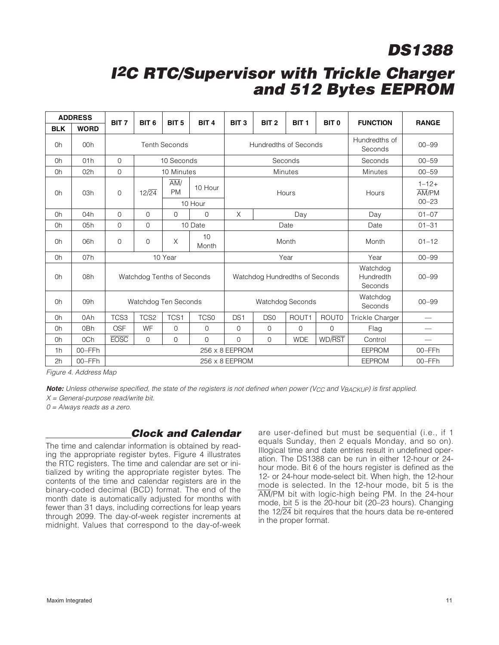# **I<sup>2</sup>C RTC/Supervisor with Trickle Charger and 512 Bytes EEPROM**

|                | <b>ADDRESS</b> | BIT <sub>7</sub>     | BIT <sub>6</sub>           | BIT <sub>5</sub>              | BIT <sub>4</sub>   | BIT <sub>3</sub>        | BIT <sub>2</sub>               | BIT <sub>1</sub>         | BIT <sub>0</sub>    | <b>FUNCTION</b>                                          | <b>RANGE</b> |
|----------------|----------------|----------------------|----------------------------|-------------------------------|--------------------|-------------------------|--------------------------------|--------------------------|---------------------|----------------------------------------------------------|--------------|
| <b>BLK</b>     | <b>WORD</b>    |                      |                            |                               |                    |                         |                                |                          |                     |                                                          |              |
| 0h             | 00h            | <b>Tenth Seconds</b> |                            |                               |                    | Hundredths of Seconds   |                                | Hundredths of<br>Seconds | $00 - 99$           |                                                          |              |
| 0h             | 01h            | $\mathbf{O}$         |                            | 10 Seconds                    |                    |                         |                                | Seconds                  |                     | Seconds                                                  | $00 - 59$    |
| 0h             | 02h            | $\overline{0}$       |                            | 10 Minutes                    |                    |                         |                                | <b>Minutes</b>           |                     | <b>Minutes</b>                                           | $00 - 59$    |
| Oh             | 03h            | 0                    | $12\sqrt{24}$              | $\overline{AM}/$<br><b>PM</b> | 10 Hour<br>10 Hour | Hours                   |                                |                          | Hours               | $1 - 12 +$<br>$\overline{AM}/\overline{PM}$<br>$00 - 23$ |              |
| 0h             | 04h            | $\overline{0}$       | $\Omega$                   | $\Omega$                      | $\Omega$           | X                       |                                | Day                      |                     | Day                                                      | $01 - 07$    |
| 0h             | 05h            | 0                    | $\mathbf{0}$               |                               | 10 Date            |                         |                                | Date                     |                     | Date                                                     | $01 - 31$    |
| 0h             | 06h            | $\overline{0}$       | $\mathbf{0}$               | Χ                             | 10<br>Month        |                         |                                | Month                    |                     | Month                                                    | $01 - 12$    |
| 0h             | 07h            |                      |                            | 10 Year                       |                    | Year                    |                                |                          | Year                | $00 - 99$                                                |              |
| 0h             | 08h            |                      | Watchdog Tenths of Seconds |                               |                    |                         | Watchdog Hundredths of Seconds |                          |                     | Watchdog<br>Hundredth<br>Seconds                         | $00 - 99$    |
| 0h             | 09h            |                      | Watchdog Ten Seconds       |                               |                    | <b>Watchdog Seconds</b> |                                |                          | Watchdog<br>Seconds | $00 - 99$                                                |              |
| 0h             | 0Ah            | TCS3                 | TCS2                       | TCS1                          | <b>TCS0</b>        | DS <sub>1</sub>         | DS <sub>0</sub>                | ROUT1                    | <b>ROUTO</b>        | Trickle Charger                                          |              |
| 0h             | 0Bh            | <b>OSF</b>           | WF                         | $\mathbf 0$                   | $\overline{0}$     | $\overline{0}$          | 0                              | $\Omega$                 | $\overline{0}$      | Flag                                                     |              |
| 0h             | 0Ch            | <b>EOSC</b>          | $\mathbf 0$                | $\overline{0}$                | $\overline{0}$     | $\Omega$                | 0                              | <b>WDE</b>               | WD/RST              | Control                                                  |              |
| 1 <sub>h</sub> | 00-FFh         |                      | 256 x 8 EEPROM             |                               |                    |                         |                                |                          |                     | <b>EEPROM</b>                                            | 00-FFh       |
| 2h             | 00-FFh         |                      |                            |                               |                    | $256 \times 8$ EEPROM   |                                |                          |                     | <b>EEPROM</b>                                            | 00-FFh       |

Figure 4. Address Map

**Note:** Unless otherwise specified, the state of the registers is not defined when power (V<sub>CC</sub> and VBACKUP) is first applied.

 $X = General-purpose read/write bit.$ 

0 = Always reads as a zero.

### **Clock and Calendar**

The time and calendar information is obtained by reading the appropriate register bytes. Figure 4 illustrates the RTC registers. The time and calendar are set or initialized by writing the appropriate register bytes. The contents of the time and calendar registers are in the binary-coded decimal (BCD) format. The end of the month date is automatically adjusted for months with fewer than 31 days, including corrections for leap years through 2099. The day-of-week register increments at midnight. Values that correspond to the day-of-week are user-defined but must be sequential (i.e., if 1 equals Sunday, then 2 equals Monday, and so on). Illogical time and date entries result in undefined operation. The DS1388 can be run in either 12-hour or 24 hour mode. Bit 6 of the hours register is defined as the 12- or 24-hour mode-select bit. When high, the 12-hour mode is selected. In the 12-hour mode, bit 5 is the AM/PM bit with logic-high being PM. In the 24-hour mode, bit 5 is the 20-hour bit (20–23 hours). Changing the  $12\sqrt{24}$  bit requires that the hours data be re-entered in the proper format.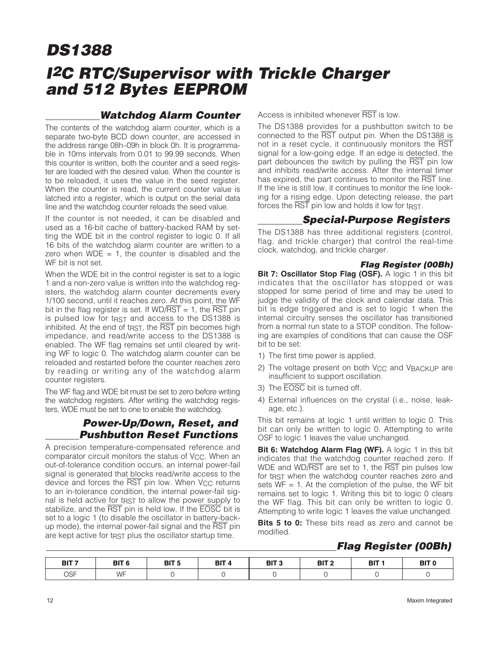### **Watchdog Alarm Counter**

The contents of the watchdog alarm counter, which is a separate two-byte BCD down counter, are accessed in the address range 08h–09h in block 0h. It is programmable in 10ms intervals from 0.01 to 99.99 seconds. When this counter is written, both the counter and a seed register are loaded with the desired value. When the counter is to be reloaded, it uses the value in the seed register. When the counter is read, the current counter value is latched into a register, which is output on the serial data line and the watchdog counter reloads the seed value.

If the counter is not needed, it can be disabled and used as a 16-bit cache of battery-backed RAM by setting the WDE bit in the control register to logic 0. If all 16 bits of the watchdog alarm counter are written to a zero when  $WDE = 1$ , the counter is disabled and the WF bit is not set.

When the WDE bit in the control register is set to a logic 1 and a non-zero value is written into the watchdog registers, the watchdog alarm counter decrements every 1/100 second, until it reaches zero. At this point, the WF bit in the flag register is set. If  $WD/RST = 1$ , the RST pin is pulsed low for  $t_{RST}$  and access to the DS1388 is inhibited. At the end of t<sub>RST</sub>, the RST pin becomes high impedance, and read/write access to the DS1388 is enabled. The WF flag remains set until cleared by writing WF to logic 0. The watchdog alarm counter can be reloaded and restarted before the counter reaches zero by reading or writing any of the watchdog alarm counter registers.

The WF flag and WDE bit must be set to zero before writing the watchdog registers. After writing the watchdog registers, WDE must be set to one to enable the watchdog.

#### **Power-Up/Down, Reset, and Pushbutton Reset Functions**

A precision temperature-compensated reference and comparator circuit monitors the status of  $V_{CC}$ . When an out-of-tolerance condition occurs, an internal power-fail signal is generated that blocks read/write access to the device and forces the  $\overline{\text{RST}}$  pin low. When V<sub>CC</sub> returns to an in-tolerance condition, the internal power-fail signal is held active for t<sub>RST</sub> to allow the power supply to stabilize, and the RST pin is held low. If the **EOSC** bit is set to a logic 1 (to disable the oscillator in battery-backup mode), the internal power-fail signal and the RST pin are kept active for t<sub>RST</sub> plus the oscillator startup time.

Access is inhibited whenever RST is low.

The DS1388 provides for a pushbutton switch to be connected to the RST output pin. When the DS1388 is not in a reset cycle, it continuously monitors the RST signal for a low-going edge. If an edge is detected, the part debounces the switch by pulling the RST pin low and inhibits read/write access. After the internal timer has expired, the part continues to monitor the RST line. If the line is still low, it continues to monitor the line looking for a rising edge. Upon detecting release, the part forces the RST pin low and holds it low for tRST.

### **Special-Purpose Registers**

The DS1388 has three additional registers (control, flag, and trickle charger) that control the real-time clock, watchdog, and trickle charger.

#### **Flag Register (00Bh)**

**Bit 7: Oscillator Stop Flag (OSF).** A logic 1 in this bit indicates that the oscillator has stopped or was stopped for some period of time and may be used to judge the validity of the clock and calendar data. This bit is edge triggered and is set to logic 1 when the internal circuitry senses the oscillator has transitioned from a normal run state to a STOP condition. The following are examples of conditions that can cause the OSF bit to be set:

- 1) The first time power is applied.
- 2) The voltage present on both V<sub>CC</sub> and VBACKUP are insufficient to support oscillation.
- 3) The EOSC bit is turned off.
- 4) External influences on the crystal (i.e., noise, leakage, etc.).

This bit remains at logic 1 until written to logic 0. This bit can only be written to logic 0. Attempting to write OSF to logic 1 leaves the value unchanged.

**Bit 6: Watchdog Alarm Flag (WF).** A logic 1 in this bit indicates that the watchdog counter reached zero. If WDE and WD/RST are set to 1, the RST pin pulses low for t<sub>RST</sub> when the watchdog counter reaches zero and sets  $WF = 1$ . At the completion of the pulse, the WF bit remains set to logic 1. Writing this bit to logic 0 clears the WF flag. This bit can only be written to logic 0. Attempting to write logic 1 leaves the value unchanged.

**Bits 5 to 0:** These bits read as zero and cannot be modified.

# **Flag Register (00Bh)**

| BIT <sub>7</sub> | BIT <sub>6</sub> | DIT E<br>ы<br>. ರ | BIT <sub>4</sub> | BIT <sub>3</sub> | BIT <sub>2</sub> | BIT 1 | BIT <sub>0</sub> |
|------------------|------------------|-------------------|------------------|------------------|------------------|-------|------------------|
| OSF              | WE<br>, , ,      |                   |                  |                  |                  |       |                  |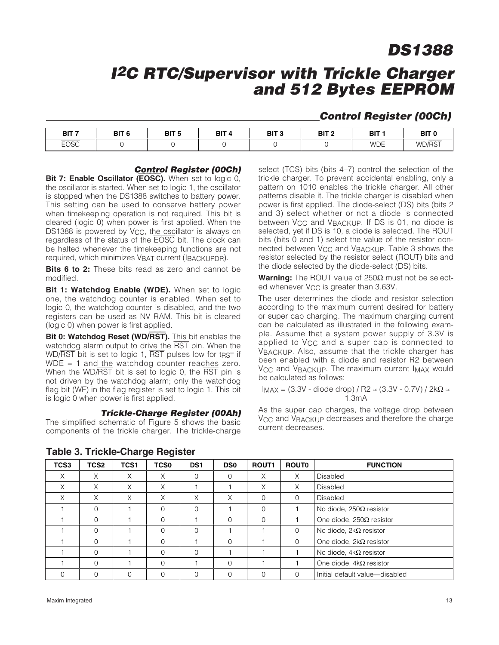# **I<sup>2</sup>C RTC/Supervisor with Trickle Charger and 512 Bytes EEPROM**

#### **Control Register (00Ch)**

| דום<br>ы                   | י דומ<br>וס<br>$\sim$ | DIT E<br>ы<br>- 1 | <b>BIT</b> | DIT C<br>DІ<br>× | י דום<br>ы | <b>BIT</b> | <b>BIT</b><br>--- |
|----------------------------|-----------------------|-------------------|------------|------------------|------------|------------|-------------------|
| $- - - - -$<br><b>EOSC</b> |                       |                   |            |                  |            | <b>WDE</b> | WD/RST            |

#### **Control Register (00Ch)**

**Bit 7: Enable Oscillator (EOSC).** When set to logic 0, the oscillator is started. When set to logic 1, the oscillator is stopped when the DS1388 switches to battery power. This setting can be used to conserve battery power when timekeeping operation is not required. This bit is cleared (logic 0) when power is first applied. When the DS1388 is powered by  $V_{CC}$ , the oscillator is always on regardless of the status of the EOSC bit. The clock can be halted whenever the timekeeping functions are not required, which minimizes VBAT current (IBACKUPDR).

**Bits 6 to 2:** These bits read as zero and cannot be modified.

**Bit 1: Watchdog Enable (WDE).** When set to logic one, the watchdog counter is enabled. When set to logic 0, the watchdog counter is disabled, and the two registers can be used as NV RAM. This bit is cleared (logic 0) when power is first applied.

**Bit 0: Watchdog Reset (WD/RST).** This bit enables the watchdog alarm output to drive the RST pin. When the WD/RST bit is set to logic 1, RST pulses low for tRST if  $WDE = 1$  and the watchdog counter reaches zero. When the WD/RST bit is set to logic 0, the RST pin is not driven by the watchdog alarm; only the watchdog flag bit (WF) in the flag register is set to logic 1. This bit is logic 0 when power is first applied.

#### **Trickle-Charge Register (00Ah)**

The simplified schematic of Figure 5 shows the basic components of the trickle charger. The trickle-charge

select (TCS) bits (bits 4–7) control the selection of the trickle charger. To prevent accidental enabling, only a pattern on 1010 enables the trickle charger. All other patterns disable it. The trickle charger is disabled when power is first applied. The diode-select (DS) bits (bits 2 and 3) select whether or not a diode is connected between V<sub>CC</sub> and V<sub>BACKUP</sub>. If DS is 01, no diode is selected, yet if DS is 10, a diode is selected. The ROUT bits (bits 0 and 1) select the value of the resistor connected between V<sub>CC</sub> and V<sub>BACKUP</sub>. Table 3 shows the resistor selected by the resistor select (ROUT) bits and the diode selected by the diode-select (DS) bits.

**Warning:** The ROUT value of 250Ω must not be selected whenever V<sub>CC</sub> is greater than 3.63V.

The user determines the diode and resistor selection according to the maximum current desired for battery or super cap charging. The maximum charging current can be calculated as illustrated in the following example. Assume that a system power supply of 3.3V is applied to V<sub>CC</sub> and a super cap is connected to VBACKUP. Also, assume that the trickle charger has been enabled with a diode and resistor R2 between V<sub>CC</sub> and V<sub>BACKUP</sub>. The maximum current I<sub>MAX</sub> would be calculated as follows:

 $I_{MAX}$  = (3.3V - diode drop) / R2  $\approx$  (3.3V - 0.7V) / 2k $\Omega \approx$ 1.3mA

As the super cap charges, the voltage drop between V<sub>CC</sub> and V<sub>BACKUP</sub> decreases and therefore the charge current decreases.

| TCS3 | TCS2     | TCS1 | <b>TCS0</b> | DS <sub>1</sub> | <b>DS0</b> | <b>ROUT1</b> | <b>ROUTO</b> | <b>FUNCTION</b>                 |
|------|----------|------|-------------|-----------------|------------|--------------|--------------|---------------------------------|
| X    | X        | X    | X           | $\Omega$        | $\Omega$   | X            | X            | Disabled                        |
| X    | X        | X    | X           |                 |            | X            | X            | <b>Disabled</b>                 |
| Χ    | X        | X    | X           | X               | X          | $\Omega$     | $\Omega$     | Disabled                        |
|      | $\Omega$ |      | $\Omega$    | $\Omega$        |            |              |              | No diode, 250Ω resistor         |
|      | $\Omega$ |      | 0           |                 | $\Omega$   | $\Omega$     |              | One diode, $250\Omega$ resistor |
|      | $\Omega$ |      | $\Omega$    | $\Omega$        |            |              | $\Omega$     | No diode, 2kΩ resistor          |
|      | $\Omega$ |      | $\Omega$    |                 | $\Omega$   |              | $\Omega$     | One diode, $2k\Omega$ resistor  |
|      | $\Omega$ |      | $\Omega$    | $\Omega$        |            |              |              | No diode, $4kΩ$ resistor        |
|      | $\Omega$ |      | $\Omega$    |                 | $\Omega$   |              |              | One diode, $4k\Omega$ resistor  |
|      | $\Omega$ | O    | 0           | $\Omega$        | $\Omega$   |              | $\Omega$     | Initial default value-disabled  |

#### **Table 3. Trickle-Charge Register**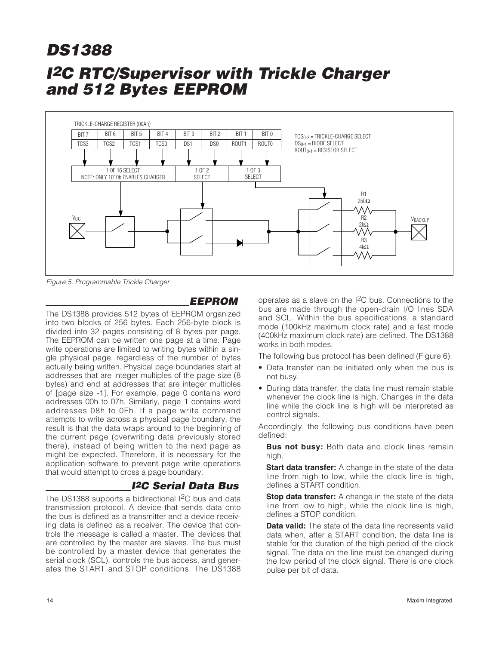

Figure 5. Programmable Trickle Charger

#### **EEPROM**

The DS1388 provides 512 bytes of EEPROM organized into two blocks of 256 bytes. Each 256-byte block is divided into 32 pages consisting of 8 bytes per page. The EEPROM can be written one page at a time. Page write operations are limited to writing bytes within a single physical page, regardless of the number of bytes actually being written. Physical page boundaries start at addresses that are integer multiples of the page size (8 bytes) and end at addresses that are integer multiples of [page size -1]. For example, page 0 contains word addresses 00h to 07h. Similarly, page 1 contains word addresses 08h to 0Fh. If a page write command attempts to write across a physical page boundary, the result is that the data wraps around to the beginning of the current page (overwriting data previously stored there), instead of being written to the next page as might be expected. Therefore, it is necessary for the application software to prevent page write operations that would attempt to cross a page boundary.

### **I2C Serial Data Bus**

The DS1388 supports a bidirectional I<sup>2</sup>C bus and data transmission protocol. A device that sends data onto the bus is defined as a transmitter and a device receiving data is defined as a receiver. The device that controls the message is called a master. The devices that are controlled by the master are slaves. The bus must be controlled by a master device that generates the serial clock (SCL), controls the bus access, and generates the START and STOP conditions. The DS1388 operates as a slave on the I2C bus. Connections to the bus are made through the open-drain I/O lines SDA and SCL. Within the bus specifications, a standard mode (100kHz maximum clock rate) and a fast mode (400kHz maximum clock rate) are defined. The DS1388 works in both modes.

The following bus protocol has been defined (Figure 6):

- Data transfer can be initiated only when the bus is not busy.
- During data transfer, the data line must remain stable whenever the clock line is high. Changes in the data line while the clock line is high will be interpreted as control signals.

Accordingly, the following bus conditions have been defined:

**Bus not busy:** Both data and clock lines remain high.

**Start data transfer:** A change in the state of the data line from high to low, while the clock line is high, defines a START condition.

**Stop data transfer:** A change in the state of the data line from low to high, while the clock line is high, defines a STOP condition.

**Data valid:** The state of the data line represents valid data when, after a START condition, the data line is stable for the duration of the high period of the clock signal. The data on the line must be changed during the low period of the clock signal. There is one clock pulse per bit of data.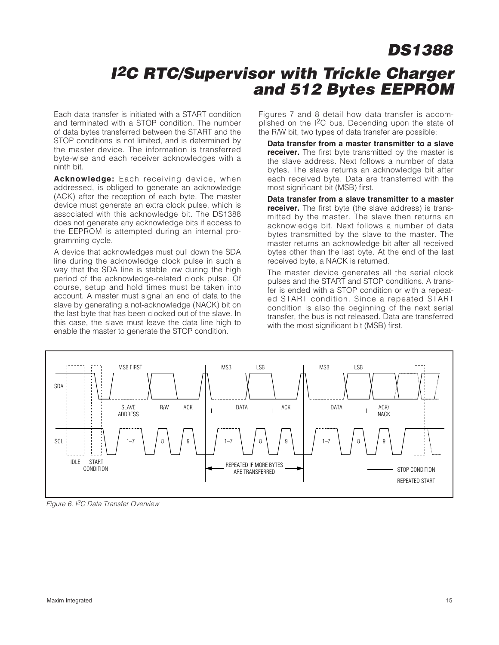# **I<sup>2</sup>C RTC/Supervisor with Trickle Charger and 512 Bytes EEPROM**

Each data transfer is initiated with a START condition and terminated with a STOP condition. The number of data bytes transferred between the START and the STOP conditions is not limited, and is determined by the master device. The information is transferred byte-wise and each receiver acknowledges with a ninth bit.

**Acknowledge:** Each receiving device, when addressed, is obliged to generate an acknowledge (ACK) after the reception of each byte. The master device must generate an extra clock pulse, which is associated with this acknowledge bit. The DS1388 does not generate any acknowledge bits if access to the EEPROM is attempted during an internal programming cycle.

A device that acknowledges must pull down the SDA line during the acknowledge clock pulse in such a way that the SDA line is stable low during the high period of the acknowledge-related clock pulse. Of course, setup and hold times must be taken into account. A master must signal an end of data to the slave by generating a not-acknowledge (NACK) bit on the last byte that has been clocked out of the slave. In this case, the slave must leave the data line high to enable the master to generate the STOP condition.

Figures 7 and 8 detail how data transfer is accomplished on the I2C bus. Depending upon the state of the  $R/\overline{W}$  bit, two types of data transfer are possible:

**Data transfer from a master transmitter to a slave receiver.** The first byte transmitted by the master is the slave address. Next follows a number of data bytes. The slave returns an acknowledge bit after each received byte. Data are transferred with the most significant bit (MSB) first.

**Data transfer from a slave transmitter to a master receiver.** The first byte (the slave address) is transmitted by the master. The slave then returns an acknowledge bit. Next follows a number of data bytes transmitted by the slave to the master. The master returns an acknowledge bit after all received bytes other than the last byte. At the end of the last received byte, a NACK is returned.

The master device generates all the serial clock pulses and the START and STOP conditions. A transfer is ended with a STOP condition or with a repeated START condition. Since a repeated START condition is also the beginning of the next serial transfer, the bus is not released. Data are transferred with the most significant bit (MSB) first.



Figure 6. I<sup>2</sup>C Data Transfer Overview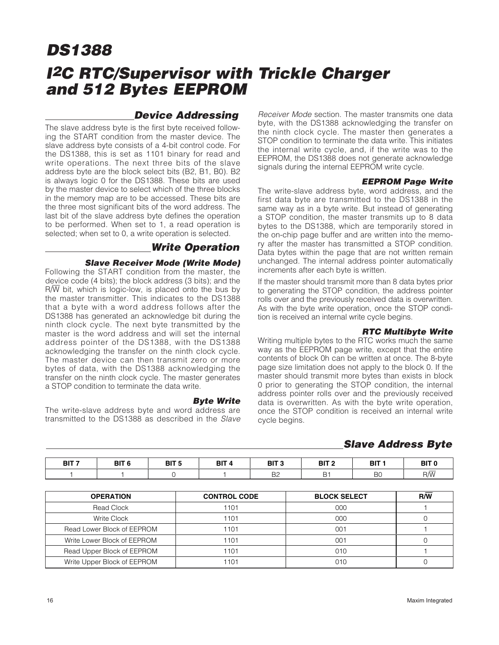### **Device Addressing**

The slave address byte is the first byte received following the START condition from the master device. The slave address byte consists of a 4-bit control code. For the DS1388, this is set as 1101 binary for read and write operations. The next three bits of the slave address byte are the block select bits (B2, B1, B0). B2 is always logic 0 for the DS1388. These bits are used by the master device to select which of the three blocks in the memory map are to be accessed. These bits are the three most significant bits of the word address. The last bit of the slave address byte defines the operation to be performed. When set to 1, a read operation is selected; when set to 0, a write operation is selected.

#### **Write Operation**

#### **Slave Receiver Mode (Write Mode)**

Following the START condition from the master, the device code (4 bits); the block address (3 bits); and the R/W bit, which is logic-low, is placed onto the bus by the master transmitter. This indicates to the DS1388 that a byte with a word address follows after the DS1388 has generated an acknowledge bit during the ninth clock cycle. The next byte transmitted by the master is the word address and will set the internal address pointer of the DS1388, with the DS1388 acknowledging the transfer on the ninth clock cycle. The master device can then transmit zero or more bytes of data, with the DS1388 acknowledging the transfer on the ninth clock cycle. The master generates a STOP condition to terminate the data write.

#### **Byte Write**

The write-slave address byte and word address are transmitted to the DS1388 as described in the Slave Receiver Mode section. The master transmits one data byte, with the DS1388 acknowledging the transfer on the ninth clock cycle. The master then generates a STOP condition to terminate the data write. This initiates the internal write cycle, and, if the write was to the EEPROM, the DS1388 does not generate acknowledge signals during the internal EEPROM write cycle.

#### **EEPROM Page Write**

The write-slave address byte, word address, and the first data byte are transmitted to the DS1388 in the same way as in a byte write. But instead of generating a STOP condition, the master transmits up to 8 data bytes to the DS1388, which are temporarily stored in the on-chip page buffer and are written into the memory after the master has transmitted a STOP condition. Data bytes within the page that are not written remain unchanged. The internal address pointer automatically increments after each byte is written.

If the master should transmit more than 8 data bytes prior to generating the STOP condition, the address pointer rolls over and the previously received data is overwritten. As with the byte write operation, once the STOP condition is received an internal write cycle begins.

#### **RTC Multibyte Write**

Writing multiple bytes to the RTC works much the same way as the EEPROM page write, except that the entire contents of block 0h can be written at once. The 8-byte page size limitation does not apply to the block 0. If the master should transmit more bytes than exists in block 0 prior to generating the STOP condition, the internal address pointer rolls over and the previously received data is overwritten. As with the byte write operation, once the STOP condition is received an internal write cycle begins.

#### **Slave Address Byte**

| BIT <sub>7</sub> | BIT <sub>6</sub> | BIT <sub>5</sub> | BIT <sub>4</sub> | BIT <sub>3</sub>     | BIT <sub>2</sub> | <b>BIT</b> | BIT <sub>0</sub> |
|------------------|------------------|------------------|------------------|----------------------|------------------|------------|------------------|
|                  |                  |                  |                  | D <sub>0</sub><br>DZ | <b>B1</b>        | <b>BC</b>  | $R/\overline{W}$ |

| <b>OPERATION</b>            | <b>CONTROL CODE</b> | <b>BLOCK SELECT</b> | $R/\overline{W}$ |
|-----------------------------|---------------------|---------------------|------------------|
| Read Clock                  | 1101                | 000                 |                  |
| Write Clock                 | 1101                | 000                 |                  |
| Read Lower Block of EEPROM  | 1101                | 001                 |                  |
| Write Lower Block of EEPROM | 1101                | 001                 |                  |
| Read Upper Block of EEPROM  | 1101                | 010                 |                  |
| Write Upper Block of EEPROM | 1101                | 010                 |                  |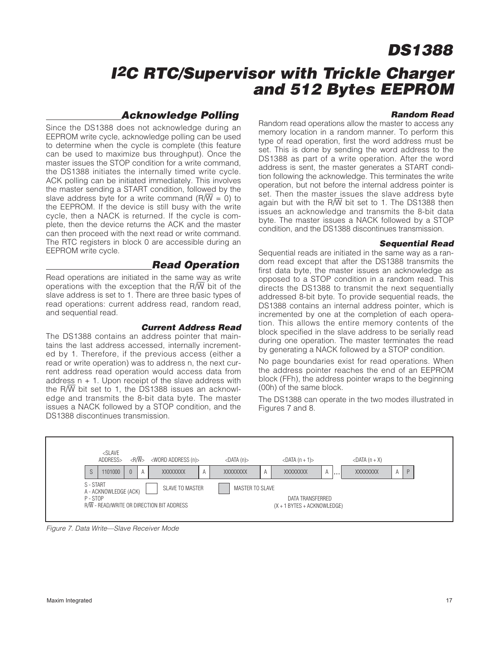# **I<sup>2</sup>C RTC/Supervisor with Trickle Charger and 512 Bytes EEPROM**

#### **Acknowledge Polling**

Since the DS1388 does not acknowledge during an EEPROM write cycle, acknowledge polling can be used to determine when the cycle is complete (this feature can be used to maximize bus throughput). Once the master issues the STOP condition for a write command, the DS1388 initiates the internally timed write cycle. ACK polling can be initiated immediately. This involves the master sending a START condition, followed by the slave address byte for a write command ( $\overline{RW}$  = 0) to the EEPROM. If the device is still busy with the write cycle, then a NACK is returned. If the cycle is complete, then the device returns the ACK and the master can then proceed with the next read or write command. The RTC registers in block 0 are accessible during an EEPROM write cycle.

#### **Read Operation**

Read operations are initiated in the same way as write operations with the exception that the R $\overline{W}$  bit of the slave address is set to 1. There are three basic types of read operations: current address read, random read, and sequential read.

#### **Current Address Read**

The DS1388 contains an address pointer that maintains the last address accessed, internally incremented by 1. Therefore, if the previous access (either a read or write operation) was to address n, the next current address read operation would access data from address  $n + 1$ . Upon receipt of the slave address with the  $R/\overline{W}$  bit set to 1, the DS1388 issues an acknowledge and transmits the 8-bit data byte. The master issues a NACK followed by a STOP condition, and the DS1388 discontinues transmission.

#### **Random Read**

Random read operations allow the master to access any memory location in a random manner. To perform this type of read operation, first the word address must be set. This is done by sending the word address to the DS1388 as part of a write operation. After the word address is sent, the master generates a START condition following the acknowledge. This terminates the write operation, but not before the internal address pointer is set. Then the master issues the slave address byte again but with the R $\overline{W}$  bit set to 1. The DS1388 then issues an acknowledge and transmits the 8-bit data byte. The master issues a NACK followed by a STOP condition, and the DS1388 discontinues transmission.

#### **Sequential Read**

Sequential reads are initiated in the same way as a random read except that after the DS1388 transmits the first data byte, the master issues an acknowledge as opposed to a STOP condition in a random read. This directs the DS1388 to transmit the next sequentially addressed 8-bit byte. To provide sequential reads, the DS1388 contains an internal address pointer, which is incremented by one at the completion of each operation. This allows the entire memory contents of the block specified in the slave address to be serially read during one operation. The master terminates the read by generating a NACK followed by a STOP condition.

No page boundaries exist for read operations. When the address pointer reaches the end of an EEPROM block (FFh), the address pointer wraps to the beginning (00h) of the same block.

The DS1388 can operate in the two modes illustrated in Figures 7 and 8.



Figure 7. Data Write—Slave Receiver Mode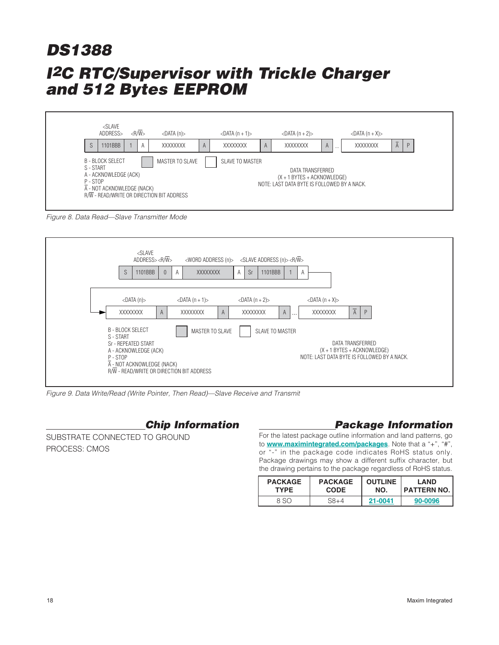

Figure 8. Data Read—Slave Transmitter Mode



Figure 9. Data Write/Read (Write Pointer, Then Read)—Slave Receive and Transmit

# **Chip Information**

SUBSTRATE CONNECTED TO GROUND PROCESS: CMOS

# **Package Information**

For the latest package outline information and land patterns, go to **www.maximintegrated.com/packages**. Note that a "+", "#", or "-" in the package code indicates RoHS status only. Package drawings may show a different suffix character, but the drawing pertains to the package regardless of RoHS status.

| <b>PACKAGE</b> | <b>PACKAGE</b> | <b>OUTLINE</b> | LAND               |
|----------------|----------------|----------------|--------------------|
| <b>TYPE</b>    | <b>CODE</b>    | NO.            | <b>PATTERN NO.</b> |
| 8 SO           | $SA + 4$       | 21-0041        | 90-0096            |